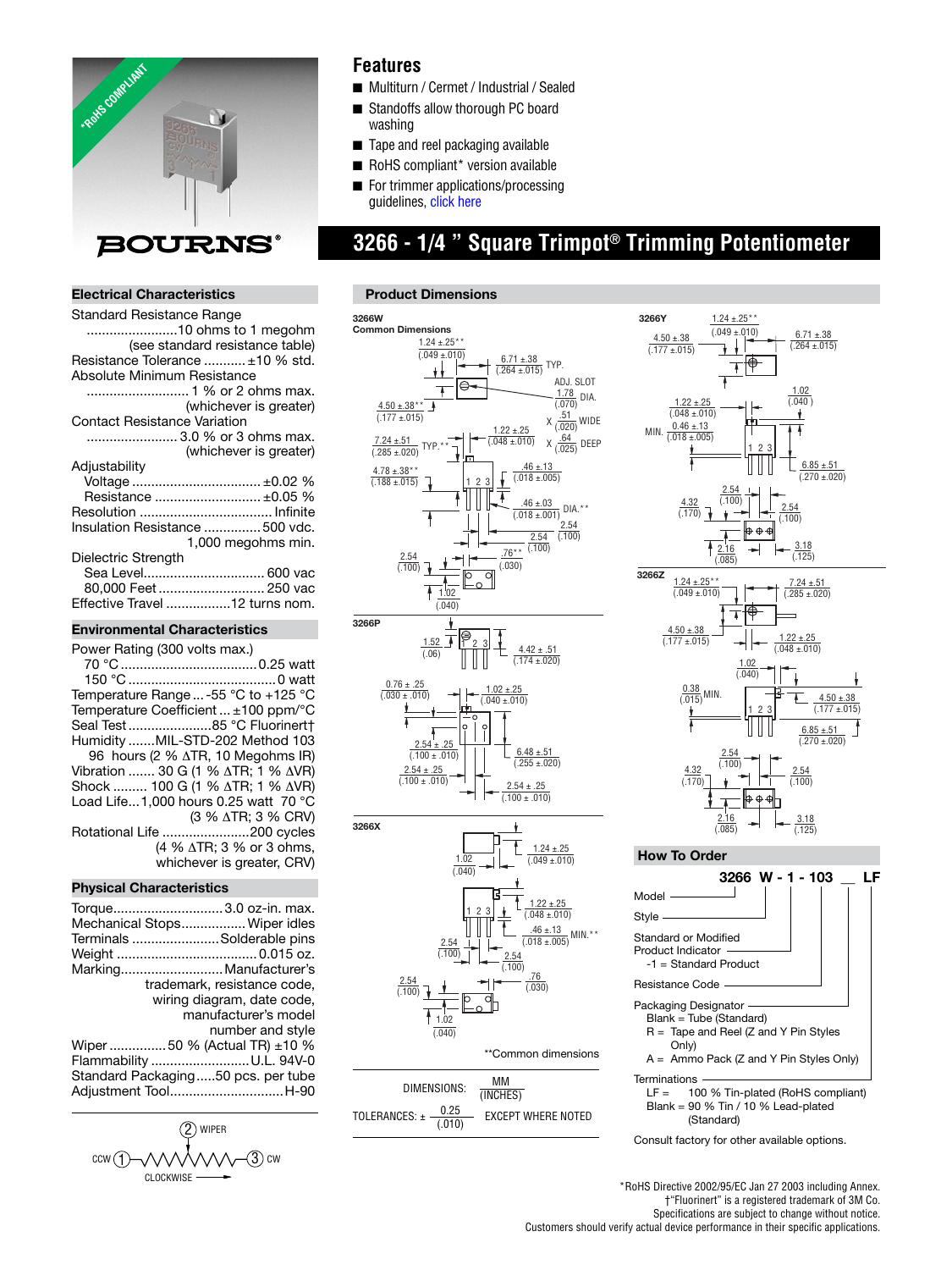

### **Features**

- Multiturn / Cermet / Industrial / Sealed
- Standoffs allow thorough PC board washing
- Tape and reel packaging available
- RoHS compliant\* version available
- For trimmer applications/processing guidelines[, click here](http://www.bourns.com/data/global/pdfs/ap_proc.pdf)

## **3266 - 1/4 " Square Trimpot® Trimming Potentiometer**

#### **Electrical Characteristics**

| Standard Resistance Range           |
|-------------------------------------|
| 10 ohms to 1 megohm                 |
| (see standard resistance table)     |
| Resistance Tolerance  ±10 % std.    |
| Absolute Minimum Resistance         |
|                                     |
| (whichever is greater)              |
| <b>Contact Resistance Variation</b> |
| 3.0 % or 3 ohms max.                |
| (whichever is greater)              |
| Adjustability                       |
| Voltage  ±0.02 %                    |
| Resistance  ±0.05 %                 |
|                                     |
| Insulation Resistance  500 vdc.     |
| 1,000 megohms min.                  |
| Dielectric Strength                 |
| Sea Level 600 vac                   |
| 80,000 Feet  250 vac                |
| Effective Travel 12 turns nom.      |
|                                     |

#### **Environmental Characteristics**

| Power Rating (300 volts max.)                            |
|----------------------------------------------------------|
|                                                          |
|                                                          |
| Temperature Range  -55 $^{\circ}$ C to +125 $^{\circ}$ C |
| Temperature Coefficient  ±100 ppm/°C                     |
| Seal Test85 °C Fluorinert†                               |
| Humidity MIL-STD-202 Method 103                          |
| 96 hours (2 % $\triangle$ TR, 10 Megohms IR)             |
| Vibration  30 G (1 % $\triangle$ TR; 1 % $\triangle$ VR) |
| Shock  100 G (1 % ∆TR; 1 % ∆VR)                          |
| Load Life1,000 hours 0.25 watt 70 °C                     |
| (3 % ∆TR; 3 % CRV)                                       |
| Rotational Life 200 cycles                               |
| (4 % ∆TR; 3 % or 3 ohms,                                 |
| whichever is greater, CRV)                               |
|                                                          |

#### **Physical Characteristics**

| Torque 3.0 oz-in. max.<br>Mechanical Stops Wiper idles                                                                                                                                                      |
|-------------------------------------------------------------------------------------------------------------------------------------------------------------------------------------------------------------|
| Terminals Solderable pins                                                                                                                                                                                   |
|                                                                                                                                                                                                             |
| Marking Manufacturer's                                                                                                                                                                                      |
| trademark, resistance code.<br>wiring diagram, date code,<br>manufacturer's model<br>number and style<br>Wiper 50 % (Actual TR) $\pm$ 10 %<br>Flammability U.L. 94V-0<br>Standard Packaging50 pcs. per tube |
| Adjustment ToolH-90                                                                                                                                                                                         |



#### **Product Dimensions**





Resistance Code Packaging Designator Blank = Tube (Standard) R = Tape and Reel (Z and Y Pin Styles Only)  $A =$  Ammo Pack (Z and Y Pin Styles Only) Terminations  $LF = 100$ 

100 % Tin-plated (RoHS compliant) Blank =  $90 \%$  Tin /  $10 \%$  Lead-plated (Standard)

Consult factory for other available options.